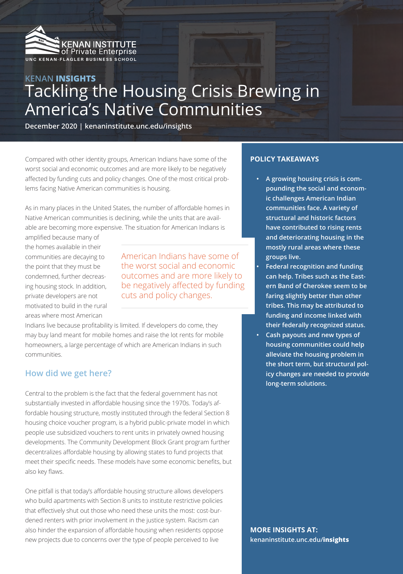

# **KENAN INSIGHTS** Tackling the Housing Crisis Brewing in America's Native Communities

**December 2020 | kenaninstitute.unc.edu/insights**

Compared with other identity groups, American Indians have some of the worst social and economic outcomes and are more likely to be negatively affected by funding cuts and policy changes. One of the most critical problems facing Native American communities is housing.

As in many places in the United States, the number of affordable homes in Native American communities is declining, while the units that are available are becoming more expensive. The situation for American Indians is

amplified because many of the homes available in their communities are decaying to the point that they must be condemned, further decreasing housing stock. In addition, private developers are not motivated to build in the rural areas where most American

American Indians have some of the worst social and economic outcomes and are more likely to be negatively affected by funding cuts and policy changes.

Indians live because profitability is limited. If developers do come, they may buy land meant for mobile homes and raise the lot rents for mobile homeowners, a large percentage of which are American Indians in such communities.

### **How did we get here?**

Central to the problem is the fact that the federal government has not substantially invested in affordable housing since the 1970s. Today's affordable housing structure, mostly instituted through the federal Section 8 housing choice voucher program, is a hybrid public-private model in which people use subsidized vouchers to rent units in privately owned housing developments. The Community Development Block Grant program further decentralizes affordable housing by allowing states to fund projects that meet their specific needs. These models have some economic benefits, but also key flaws.

One pitfall is that today's affordable housing structure allows developers who build apartments with Section 8 units to institute restrictive policies that effectively shut out those who need these units the most: cost-burdened renters with prior involvement in the justice system. Racism can also hinder the expansion of affordable housing when residents oppose new projects due to concerns over the type of people perceived to live

### **POLICY TAKEAWAYS**

- **• A growing housing crisis is compounding the social and economic challenges American Indian communities face. A variety of structural and historic factors have contributed to rising rents and deteriorating housing in the mostly rural areas where these groups live.**
- **• Federal recognition and funding can help. Tribes such as the Eastern Band of Cherokee seem to be faring slightly better than other tribes. This may be attributed to funding and income linked with their federally recognized status.**
- **• Cash payouts and new types of housing communities could help alleviate the housing problem in the short term, but structural policy changes are needed to provide long-term solutions.**

**MORE INSIGHTS AT: kenaninstitute.unc.edu/insights**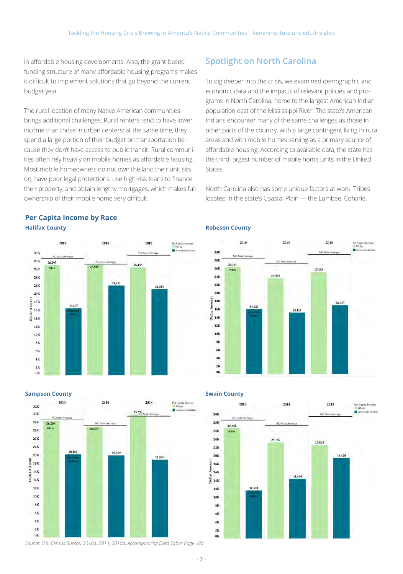in affordable housing developments. Also, the grant-based funding structure of many affordable housing programs makes it difficult to implement solutions that go beyond the current budget year.

The rural location of many Native American communities brings additional challenges. Rural renters tend to have lower income than those in urban centers; at the same time, they spend a large portion of their budget on transportation because they don't have access to public transit. Rural communities often rely heavily on mobile homes as affordable housing. Most mobile homeowners do not own the land their unit sits on, have poor legal protections, use high-risk loans to finance their property, and obtain lengthy mortgages, which makes full ownership of their mobile home very difficult.

## **Spotlight on North Carolina**

To dig deeper into the crisis, we examined demographic and economic data and the impacts of relevant policies and programs in North Carolina, home to the largest American Indian population east of the Mississippi River. The state's American Indians encounter many of the same challenges as those in other parts of the country, with a large contingent living in rural areas and with mobile homes serving as a primary source of affordable housing. According to available data, the state has the third-largest number of mobile home units in the United States.

North Carolina also has some unique factors at work. Tribes located in the state's Coastal Plain — the Lumbee, Coharie,

2014

15.157

23.599

2018

16,933

25.183

For Capita Inc.

**BR** Accountance Inchine

### **Per Capita Income by Race Halifax County**



### **Sampson County**



## **Swain County**

**Robeson County**

26,351

ank  $28k$ 

 $26k$ 

 $24K$ 

 $22k$ 

 $20k$ 

E isk

 $\frac{5}{2}$  16K<br> $\frac{1}{2}$  14K

 $12K$ 

**10K** 

**SK** 

 $6<sup>K</sup>$ 

48

 $2<sup>k</sup>$ 

0K

2010



### *Source: U.S. Census Bureau 2018a, 2014, 2010a; Accompanying Data Table: Page 180*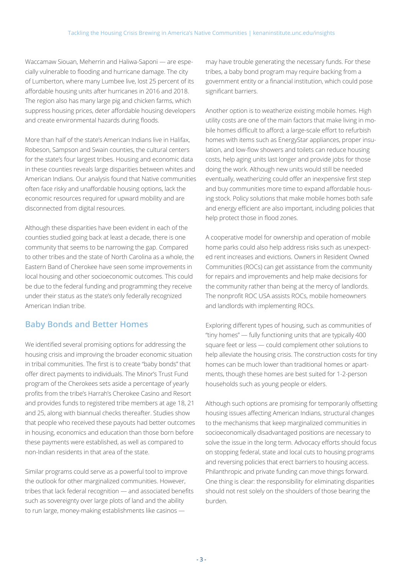Waccamaw Siouan, Meherrin and Haliwa-Saponi — are especially vulnerable to flooding and hurricane damage. The city of Lumberton, where many Lumbee live, lost 25 percent of its affordable housing units after hurricanes in 2016 and 2018. The region also has many large pig and chicken farms, which suppress housing prices, deter affordable housing developers and create environmental hazards during floods.

More than half of the state's American Indians live in Halifax, Robeson, Sampson and Swain counties, the cultural centers for the state's four largest tribes. Housing and economic data in these counties reveals large disparities between whites and American Indians. Our analysis found that Native communities often face risky and unaffordable housing options, lack the economic resources required for upward mobility and are disconnected from digital resources.

Although these disparities have been evident in each of the counties studied going back at least a decade, there is one community that seems to be narrowing the gap. Compared to other tribes and the state of North Carolina as a whole, the Eastern Band of Cherokee have seen some improvements in local housing and other socioeconomic outcomes. This could be due to the federal funding and programming they receive under their status as the state's only federally recognized American Indian tribe.

## **Baby Bonds and Better Homes**

We identified several promising options for addressing the housing crisis and improving the broader economic situation in tribal communities. The first is to create "baby bonds" that offer direct payments to individuals. The Minor's Trust Fund program of the Cherokees sets aside a percentage of yearly profits from the tribe's Harrah's Cherokee Casino and Resort and provides funds to registered tribe members at age 18, 21 and 25, along with biannual checks thereafter. Studies show that people who received these payouts had better outcomes in housing, economics and education than those born before these payments were established, as well as compared to non-Indian residents in that area of the state.

Similar programs could serve as a powerful tool to improve the outlook for other marginalized communities. However, tribes that lack federal recognition — and associated benefits such as sovereignty over large plots of land and the ability to run large, money-making establishments like casinos —

may have trouble generating the necessary funds. For these tribes, a baby bond program may require backing from a government entity or a financial institution, which could pose significant barriers.

Another option is to weatherize existing mobile homes. High utility costs are one of the main factors that make living in mobile homes difficult to afford; a large-scale effort to refurbish homes with items such as EnergyStar appliances, proper insulation, and low-flow showers and toilets can reduce housing costs, help aging units last longer and provide jobs for those doing the work. Although new units would still be needed eventually, weatherizing could offer an inexpensive first step and buy communities more time to expand affordable housing stock. Policy solutions that make mobile homes both safe and energy efficient are also important, including policies that help protect those in flood zones.

A cooperative model for ownership and operation of mobile home parks could also help address risks such as unexpected rent increases and evictions. Owners in Resident Owned Communities (ROCs) can get assistance from the community for repairs and improvements and help make decisions for the community rather than being at the mercy of landlords. The nonprofit ROC USA assists ROCs, mobile homeowners and landlords with implementing ROCs.

Exploring different types of housing, such as communities of "tiny homes" — fully functioning units that are typically 400 square feet or less — could complement other solutions to help alleviate the housing crisis. The construction costs for tiny homes can be much lower than traditional homes or apartments, though these homes are best suited for 1-2-person households such as young people or elders.

Although such options are promising for temporarily offsetting housing issues affecting American Indians, structural changes to the mechanisms that keep marginalized communities in socioeconomically disadvantaged positions are necessary to solve the issue in the long term. Advocacy efforts should focus on stopping federal, state and local cuts to housing programs and reversing policies that erect barriers to housing access. Philanthropic and private funding can move things forward. One thing is clear: the responsibility for eliminating disparities should not rest solely on the shoulders of those bearing the burden.